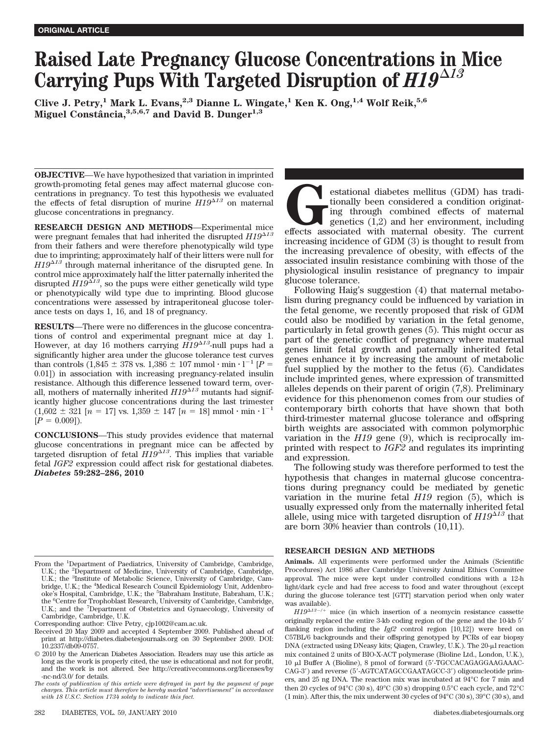# **Raised Late Pregnancy Glucose Concentrations in Mice Carrying Pups With Targeted Disruption of** *H19<sup>13</sup>*

**Clive J. Petry,1 Mark L. Evans,2,3 Dianne L. Wingate,1 Ken K. Ong,1,4 Wolf Reik,5,6 Miguel Constaˆncia,3,5,6,7 and David B. Dunger1,3**

**OBJECTIVE**—We have hypothesized that variation in imprinted growth-promoting fetal genes may affect maternal glucose concentrations in pregnancy. To test this hypothesis we evaluated the effects of fetal disruption of murine  $H19^{\Delta 13}$  on maternal glucose concentrations in pregnancy.

**RESEARCH DESIGN AND METHODS**—Experimental mice were pregnant females that had inherited the disrupted *H19<sup>13</sup>* from their fathers and were therefore phenotypically wild type due to imprinting; approximately half of their litters were null for  $H19^{\Delta 13}$  through maternal inheritance of the disrupted gene. In control mice approximately half the litter paternally inherited the disrupted  $H19^{\Delta 13}$ , so the pups were either genetically wild type or phenotypically wild type due to imprinting. Blood glucose concentrations were assessed by intraperitoneal glucose tolerance tests on days 1, 16, and 18 of pregnancy.

**RESULTS**—There were no differences in the glucose concentrations of control and experimental pregnant mice at day 1. However, at day 16 mothers carrying  $H19^{\Delta 13}$ -null pups had a significantly higher area under the glucose tolerance test curves than controls  $(1,845 \pm 378 \text{ vs. } 1,386 \pm 107 \text{ mmol} \cdot \text{min} \cdot 1^{-1} [P =$ 0.01]) in association with increasing pregnancy-related insulin resistance. Although this difference lessened toward term, overall, mothers of maternally inherited  $H19^{\Delta 13}$  mutants had significantly higher glucose concentrations during the last trimester  $(1,602 \pm 321 \text{ [}n = 17 \text{] vs. } 1,359 \pm 147 \text{ [}n = 18 \text{] mmol} \cdot \text{min} \cdot \text{I}^{-1}$  $[P = 0.009]$ .

**CONCLUSIONS**—This study provides evidence that maternal glucose concentrations in pregnant mice can be affected by targeted disruption of fetal  $H19^{\Delta 13}$ . This implies that variable fetal *IGF2* expression could affect risk for gestational diabetes. *Diabetes* **59:282–286, 2010**

Received 20 May 2009 and accepted 4 September 2009. Published ahead of print at http://diabetes.diabetesjournals.org on 30 September 2009. DOI: 10.2337/db09-0757.

estational diabetes mellitus (GDM) has tradi-<br>tionally been considered a condition originat-<br>ing through combined effects of maternal<br>genetics (1,2) and her environment, including<br>effects associated with maternal obesity. tionally been considered a condition originating through combined effects of maternal genetics  $(1,2)$  and her environment, including increasing incidence of GDM (3) is thought to result from the increasing prevalence of obesity, with effects of the associated insulin resistance combining with those of the physiological insulin resistance of pregnancy to impair glucose tolerance.

Following Haig's suggestion (4) that maternal metabolism during pregnancy could be influenced by variation in the fetal genome, we recently proposed that risk of GDM could also be modified by variation in the fetal genome, particularly in fetal growth genes (5). This might occur as part of the genetic conflict of pregnancy where maternal genes limit fetal growth and paternally inherited fetal genes enhance it by increasing the amount of metabolic fuel supplied by the mother to the fetus (6). Candidates include imprinted genes, where expression of transmitted alleles depends on their parent of origin (7,8). Preliminary evidence for this phenomenon comes from our studies of contemporary birth cohorts that have shown that both third-trimester maternal glucose tolerance and offspring birth weights are associated with common polymorphic variation in the *H19* gene (9), which is reciprocally imprinted with respect to *IGF2* and regulates its imprinting and expression.

The following study was therefore performed to test the hypothesis that changes in maternal glucose concentrations during pregnancy could be mediated by genetic variation in the murine fetal *H19* region (5), which is usually expressed only from the maternally inherited fetal allele, using mice with targeted disruption of *H19<sup>13</sup>* that are born 30% heavier than controls (10,11).

### **RESEARCH DESIGN AND METHODS**

From the <sup>1</sup>Department of Paediatrics, University of Cambridge, Cambridge, U.K.; the <sup>2</sup>Department of Medicine, University of Cambridge, Cambridge, U.K.; the <sup>3</sup>Institute of Metabolic Science, University of Cambridge, Cambridge, U.K.; the <sup>4</sup>Medical Research Council Epidemiology Unit, Addenbrooke's Hospital, Cambridge, U.K.; the <sup>5</sup>Babraham Institute, Babraham, U.K.; the <sup>6</sup> Centre for Trophoblast Research, University of Cambridge, Cambridge, U.K.; and the <sup>7</sup> Department of Obstetrics and Gynaecology, University of Cambridge, Cambridge, U.K.

Corresponding author: Clive Petry, cjp1002@cam.ac.uk.

<sup>© 2010</sup> by the American Diabetes Association. Readers may use this article as long as the work is properly cited, the use is educational and not for profit, and the work is not altered. See http://creativecommons.org/licenses/by -nc-nd/3.0/ for details.

*The costs of publication of this article were defrayed in part by the payment of page charges. This article must therefore be hereby marked "advertisement" in accordance with 18 U.S.C. Section 1734 solely to indicate this fact.*

**Animals.** All experiments were performed under the Animals (Scientific Procedures) Act 1986 after Cambridge University Animal Ethics Committee approval. The mice were kept under controlled conditions with a 12-h light/dark cycle and had free access to food and water throughout (except during the glucose tolerance test [GTT] starvation period when only water was available).

 $H19^{\Delta 13^{-}/+}$  mice (in which insertion of a neomycin resistance cassette originally replaced the entire 3-kb coding region of the gene and the 10-kb 5 flanking region including the *Igf2* control region [10,12]) were bred on C57BL/6 backgrounds and their offspring genotyped by PCRs of ear biopsy DNA (extracted using DNeasy kits; Qiagen, Crawley, U.K.). The 20-µl reaction mix contained 2 units of BIO-X-ACT polymerase (Bioline Ltd., London, U.K.), 10 µl Buffer A (Bioline), 8 pmol of forward (5'-TGCCACAGAGGAAGAAAC-CAG-3) and reverse (5-AGTCATAGCCGAATAGCC-3) oligonucleotide primers, and 25 ng DNA. The reaction mix was incubated at 94°C for 7 min and then 20 cycles of 94°C (30 s), 49°C (30 s) dropping 0.5°C each cycle, and 72°C (1 min). After this, the mix underwent 30 cycles of 94°C (30 s), 39°C (30 s), and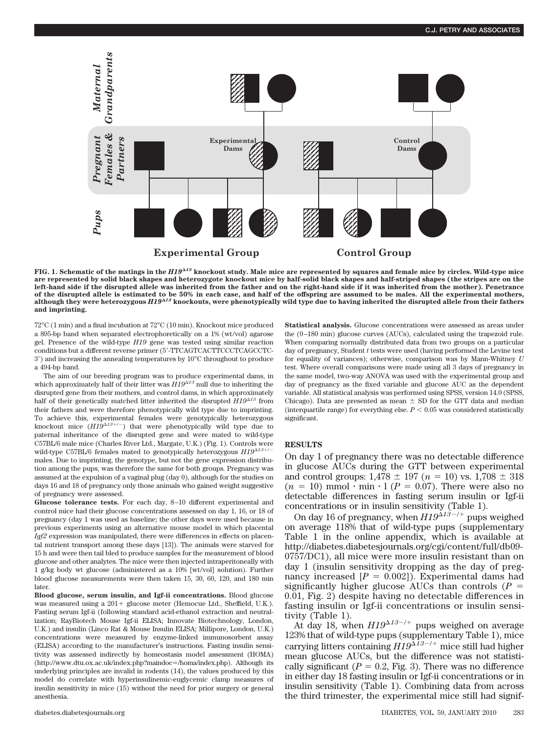

**FIG. 1. Schematic of the matings in the** *H19<sup>13</sup>* **knockout study. Male mice are represented by squares and female mice by circles. Wild-type mice are represented by solid black shapes and heterozygote knockout mice by half-solid black shapes and half-striped shapes (the stripes are on the left-hand side if the disrupted allele was inherited from the father and on the right-hand side if it was inherited from the mother). Penetrance of the disrupted allele is estimated to be 50% in each case, and half of the offspring are assumed to be males. All the experimental mothers, although they were heterozygous** *H19<sup>13</sup>* **knockouts, were phenotypically wild type due to having inherited the disrupted allele from their fathers and imprinting.**

72°C (1 min) and a final incubation at 72°C (10 min). Knockout mice produced a 895-bp band when separated electrophoretically on a 1% (wt/vol) agarose gel. Presence of the wild-type *H19* gene was tested using similar reaction conditions but a different reverse primer (5-TTCAGTCACTTCCCTCAGCCTC-3) and increasing the annealing temperatures by 10°C throughout to produce a 494-bp band.

The aim of our breeding program was to produce experimental dams, in which approximately half of their litter was  $H19^{\Delta 13}$  null due to inheriting the disrupted gene from their mothers, and control dams, in which approximately half of their genetically matched litter inherited the disrupted  $H19^{\Delta 13}$  from their fathers and were therefore phenotypically wild type due to imprinting. To achieve this, experimental females were genotypically heterozygous knockout mice  $(H19^{\Delta 13+/-})$  that were phenotypically wild type due to paternal inheritance of the disrupted gene and were mated to wild-type C57BL/6 male mice (Charles River Ltd., Margate, U.K.) (Fig. 1). Controls were wild-type C57BL/6 females mated to genotypically heterozygous  $H19^{\Delta13+}$ males. Due to imprinting, the genotype, but not the gene expression distribution among the pups, was therefore the same for both groups. Pregnancy was assumed at the expulsion of a vaginal plug (day 0), although for the studies on days 16 and 18 of pregnancy only those animals who gained weight suggestive of pregnancy were assessed.

**Glucose tolerance tests.** For each day, 8–10 different experimental and control mice had their glucose concentrations assessed on day 1, 16, or 18 of pregnancy (day 1 was used as baseline; the other days were used because in previous experiments using an alternative mouse model in which placental *Igf2* expression was manipulated, there were differences in effects on placental nutrient transport among these days [13]). The animals were starved for 15 h and were then tail bled to produce samples for the measurement of blood glucose and other analytes. The mice were then injected intraperitoneally with 1 g/kg body wt glucose (administered as a 10% [wt/vol] solution). Further blood glucose measurements were then taken 15, 30, 60, 120, and 180 min later.

**Blood glucose, serum insulin, and Igf-ii concentrations.** Blood glucose was measured using a  $201 +$  glucose meter (Hemocue Ltd., Sheffield, U.K.). Fasting serum Igf-ii (following standard acid-ethanol extraction and neutralization; RayBiotech Mouse Igf-ii ELISA; Innovate Biotechnology, London, U.K.) and insulin (Linco Rat & Mouse Insulin ELISA; Millipore, London, U.K.) concentrations were measured by enzyme-linked immunosorbent assay (ELISA) according to the manufacturer's instructions. Fasting insulin sensitivity was assessed indirectly by homeostasis model assessment (HOMA) (http://www.dtu.ox.ac.uk/index.php?maindoc=/homa/index.php). Although its underlying principles are invalid in rodents (14), the values produced by this model do correlate with hyperinsulinemic-euglycemic clamp measures of insulin sensitivity in mice (15) without the need for prior surgery or general anesthesia.

**Statistical analysis.** Glucose concentrations were assessed as areas under the (0–180 min) glucose curves (AUCs), calculated using the trapezoid rule. When comparing normally distributed data from two groups on a particular day of pregnancy, Student *t* tests were used (having performed the Levine test for equality of variances); otherwise, comparison was by Mann-Whitney *U* test. Where overall comparisons were made using all 3 days of pregnancy in the same model, two-way ANOVA was used with the experimental group and day of pregnancy as the fixed variable and glucose AUC as the dependent variable. All statistical analysis was performed using SPSS, version 14.0 (SPSS, Chicago). Data are presented as mean  $\pm$  SD for the GTT data and median (interquartile range) for everything else.  $P < 0.05$  was considered statistically significant.

## **RESULTS**

On day 1 of pregnancy there was no detectable difference in glucose AUCs during the GTT between experimental and control groups:  $1,478 \pm 197$   $(n = 10)$  vs.  $1,708 \pm 318$  $(n = 10)$  mmol  $\cdot$  min  $\cdot$  1 ( $P = 0.07$ ). There were also no detectable differences in fasting serum insulin or Igf-ii concentrations or in insulin sensitivity (Table 1).

On day 16 of pregnancy, when  $H19^{\Delta 13^{-}/+}$  pups weighed on average 118% that of wild-type pups (supplementary Table 1 in the online appendix, which is available at http://diabetes.diabetesjournals.org/cgi/content/full/db09- 0757/DC1), all mice were more insulin resistant than on day 1 (insulin sensitivity dropping as the day of pregnancy increased  $[P = 0.002]$ ). Experimental dams had significantly higher glucose AUCs than controls  $(P =$ 0.01, Fig. 2) despite having no detectable differences in fasting insulin or Igf-ii concentrations or insulin sensitivity (Table 1).

At day 18, when  $H19^{\Delta 13-/+}$  pups weighed on average 123% that of wild-type pups (supplementary Table 1), mice carrying litters containing  $H19^{\Delta 13-/+}$  mice still had higher mean glucose AUCs, but the difference was not statistically significant ( $P = 0.2$ , Fig. 3). There was no difference in either day 18 fasting insulin or Igf-ii concentrations or in insulin sensitivity (Table 1). Combining data from across the third trimester, the experimental mice still had signif-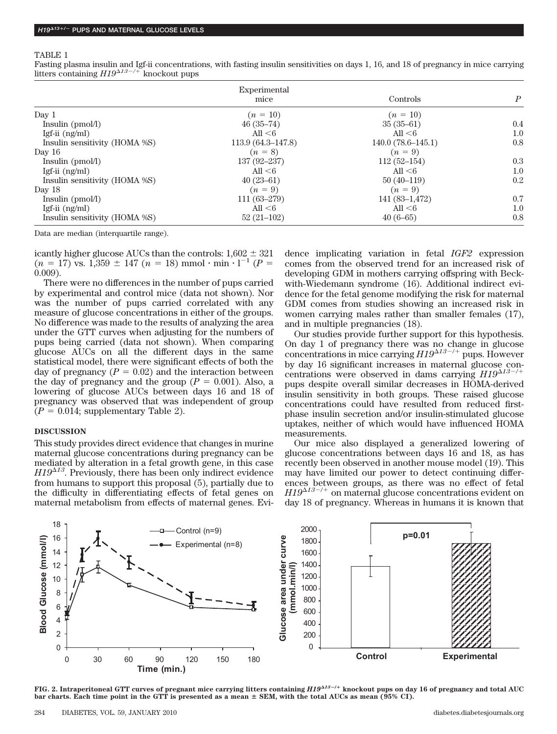#### TABLE 1

Fasting plasma insulin and Igf-ii concentrations, with fasting insulin sensitivities on days 1, 16, and 18 of pregnancy in mice carrying litters containing  $H19^{\Delta 13 - / +}$  knockout pups

|                               | Experimental          |                     |                  |
|-------------------------------|-----------------------|---------------------|------------------|
|                               | mice                  | Controls            | $\boldsymbol{P}$ |
| Day 1                         | $(n = 10)$            | $(n = 10)$          |                  |
| Insulin (pmol/l)              | $46(35-74)$           | $35(35-61)$         | 0.4              |
| Igf-ii $(ng/ml)$              | All $<$ 6             | All $<$ 6           | 1.0              |
| Insulin sensitivity (HOMA %S) | $113.9(64.3 - 147.8)$ | $140.0(78.6-145.1)$ | 0.8              |
| Day $16$                      | $(n = 8)$             | $(n = 9)$           |                  |
| Insulin (pmol/l)              | $137(92 - 237)$       | $112(52-154)$       | 0.3              |
| Igf-ii $(ng/ml)$              | All $<$ 6             | All $6$             | 1.0              |
| Insulin sensitivity (HOMA %S) | $40(23-61)$           | $50(40-119)$        | 0.2              |
| Day 18                        | $(n = 9)$             | $(n = 9)$           |                  |
| Insulin (pmol/l)              | $111(63-279)$         | $141(83-1,472)$     | 0.7              |
| Igf-ii $(ng/ml)$              | All $<$ 6             | All $<$ 6           | 1.0              |
| Insulin sensitivity (HOMA %S) | $52(21-102)$          | $40(6-65)$          | 0.8              |

Data are median (interquartile range).

icantly higher glucose AUCs than the controls:  $1,602 \pm 321$  $(n = 17)$  vs. 1,359  $\pm$  147 ( $n = 18$ ) mmol  $\cdot$  min  $\cdot$  1<sup>-1</sup> ( $P =$ 0.009).

There were no differences in the number of pups carried by experimental and control mice (data not shown). Nor was the number of pups carried correlated with any measure of glucose concentrations in either of the groups. No difference was made to the results of analyzing the area under the GTT curves when adjusting for the numbers of pups being carried (data not shown). When comparing glucose AUCs on all the different days in the same statistical model, there were significant effects of both the day of pregnancy  $(P = 0.02)$  and the interaction between the day of pregnancy and the group  $(P = 0.001)$ . Also, a lowering of glucose AUCs between days 16 and 18 of pregnancy was observed that was independent of group  $(P = 0.014;$  supplementary Table 2).

## **DISCUSSION**

This study provides direct evidence that changes in murine maternal glucose concentrations during pregnancy can be mediated by alteration in a fetal growth gene, in this case  $H19^{\Delta 13}$ . Previously, there has been only indirect evidence from humans to support this proposal (5), partially due to the difficulty in differentiating effects of fetal genes on maternal metabolism from effects of maternal genes. Evidence implicating variation in fetal *IGF2* expression comes from the observed trend for an increased risk of developing GDM in mothers carrying offspring with Beckwith-Wiedemann syndrome (16). Additional indirect evidence for the fetal genome modifying the risk for maternal GDM comes from studies showing an increased risk in women carrying males rather than smaller females (17), and in multiple pregnancies (18).

Our studies provide further support for this hypothesis. On day 1 of pregnancy there was no change in glucose concentrations in mice carrying  $H19^{\Delta 13^{-}/+}$  pups. However by day 16 significant increases in maternal glucose concentrations were observed in dams carrying  $H19^{\Delta 13 -/+}$ pups despite overall similar decreases in HOMA-derived insulin sensitivity in both groups. These raised glucose concentrations could have resulted from reduced firstphase insulin secretion and/or insulin-stimulated glucose uptakes, neither of which would have influenced HOMA measurements.

Our mice also displayed a generalized lowering of glucose concentrations between days 16 and 18, as has recently been observed in another mouse model (19). This may have limited our power to detect continuing differences between groups, as there was no effect of fetal  $H19^{\Delta 13^{-7+}}$  on maternal glucose concentrations evident on day 18 of pregnancy. Whereas in humans it is known that



**FIG. 2. Intraperitoneal GTT curves of pregnant mice carrying litters containing** *H1913*-**/ knockout pups on day 16 of pregnancy and total AUC bar charts. Each time point in the GTT is presented as a mean SEM, with the total AUCs as mean (95% CI).**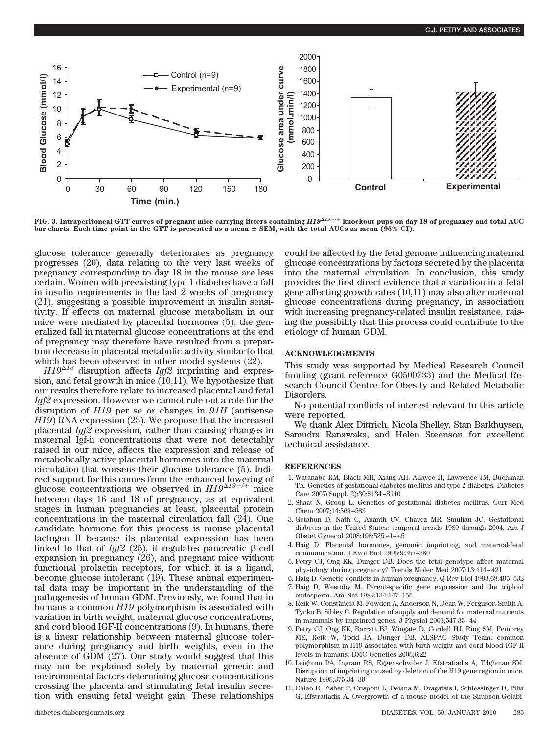

**FIG. 3. Intraperitoneal GTT curves of pregnant mice carrying litters containing** *H1913*/ **knockout pups on day 18 of pregnancy and total AUC bar charts. Each time point in the GTT is presented as a mean SEM, with the total AUCs as mean (95% CI).**

glucose tolerance generally deteriorates as pregnancy progresses (20), data relating to the very last weeks of pregnancy corresponding to day 18 in the mouse are less certain. Women with preexisting type 1 diabetes have a fall in insulin requirements in the last 2 weeks of pregnancy (21), suggesting a possible improvement in insulin sensitivity. If effects on maternal glucose metabolism in our mice were mediated by placental hormones (5), the generalized fall in maternal glucose concentrations at the end of pregnancy may therefore have resulted from a prepartum decrease in placental metabolic activity similar to that which has been observed in other model systems (22).

*H19<sup>13</sup>* disruption affects *Igf2* imprinting and expression, and fetal growth in mice (10,11). We hypothesize that our results therefore relate to increased placental and fetal *Igf2* expression. However we cannot rule out a role for the disruption of *H19* per se or changes in *91H* (antisense *H19*) RNA expression (23). We propose that the increased placental *Igf2* expression, rather than causing changes in maternal Igf-ii concentrations that were not detectably raised in our mice, affects the expression and release of metabolically active placental hormones into the maternal circulation that worsens their glucose tolerance (5). Indirect support for this comes from the enhanced lowering of glucose concentrations we observed in  $H19^{\Delta 13 - / +}$  mice between days 16 and 18 of pregnancy, as at equivalent stages in human pregnancies at least, placental protein concentrations in the maternal circulation fall (24). One candidate hormone for this process is mouse placental lactogen II because its placental expression has been linked to that of  $Igf2$  (25), it regulates pancreatic  $\beta$ -cell expansion in pregnancy (26), and pregnant mice without functional prolactin receptors, for which it is a ligand, become glucose intolerant (19). These animal experimental data may be important in the understanding of the pathogenesis of human GDM. Previously, we found that in humans a common *H19* polymorphism is associated with variation in birth weight, maternal glucose concentrations, and cord blood IGF-II concentrations (9). In humans, there is a linear relationship between maternal glucose tolerance during pregnancy and birth weights, even in the absence of GDM (27). Our study would suggest that this may not be explained solely by maternal genetic and environmental factors determining glucose concentrations crossing the placenta and stimulating fetal insulin secretion with ensuing fetal weight gain. These relationships

could be affected by the fetal genome influencing maternal glucose concentrations by factors secreted by the placenta into the maternal circulation. In conclusion, this study provides the first direct evidence that a variation in a fetal gene affecting growth rates (10,11) may also alter maternal glucose concentrations during pregnancy, in association with increasing pregnancy-related insulin resistance, raising the possibility that this process could contribute to the etiology of human GDM.

## **ACKNOWLEDGMENTS**

This study was supported by Medical Research Council funding (grant reference G0500733) and the Medical Research Council Centre for Obesity and Related Metabolic **Disorders** 

No potential conflicts of interest relevant to this article were reported.

We thank Alex Dittrich, Nicola Shelley, Stan Barkhuysen, Samudra Ranawaka, and Helen Steenson for excellent technical assistance.

# **REFERENCES**

- 1. Watanabe RM, Black MH, Xiang AH, Allayee H, Lawrence JM, Buchanan TA. Genetics of gestational diabetes mellitus and type 2 diabetes. Diabetes Care 2007(Suppl. 2);30:S134–S140
- 2. Shaat N, Groop L. Genetics of gestational diabetes mellitus. Curr Med Chem 2007;14:569–583
- 3. Getahun D, Nath C, Ananth CV, Chavez MR, Smulian JC. Gestational diabetes in the United States: temporal trends 1989 through 2004. Am J Obstet Gynecol 2008;198:525.e1–e5
- 4. Haig D. Placental hormones, genomic imprinting, and maternal-fetal communication. J Evol Biol 1996;9:357–380
- 5. Petry CJ, Ong KK, Dunger DB. Does the fetal genotype affect maternal physiology during pregnancy? Trends Molec Med 2007;13:414–421
- 6. Haig D. Genetic conflicts in human pregnancy. Q Rev Biol 1993;68:495–532 7. Haig D, Westoby M. Parent-specific gene expression and the triploid endosperm. Am Nat 1989;134:147–155
- 8. Reik W, Constância M, Fowden A, Anderson N, Dean W, Ferguson-Smith A, Tycko B, Sibley C. Regulation of supply and demand for maternal nutrients in mammals by imprinted genes. J Physiol 2003;547:35–44
- 9. Petry CJ, Ong KK, Barratt BJ, Wingate D, Cordell HJ, Ring SM, Pembrey ME, Reik W, Todd JA, Dunger DB. ALSPAC Study Team: common polymorphism in H19 associated with birth weight and cord blood IGF-II levels in humans. BMC Genetics 2005;6:22
- 10. Leighton PA, Ingram RS, Eggenschwiler J, Efstratiadis A, Tilghman SM. Disruption of imprinting caused by deletion of the H19 gene region in mice. Nature 1995;375:34–39
- 11. Chiao E, Fisher P, Crisponi L, Deiana M, Dragatsis I, Schlessinger D, Pilia G, Efstratiadis A. Overgrowth of a mouse model of the Simpson-Golabi-